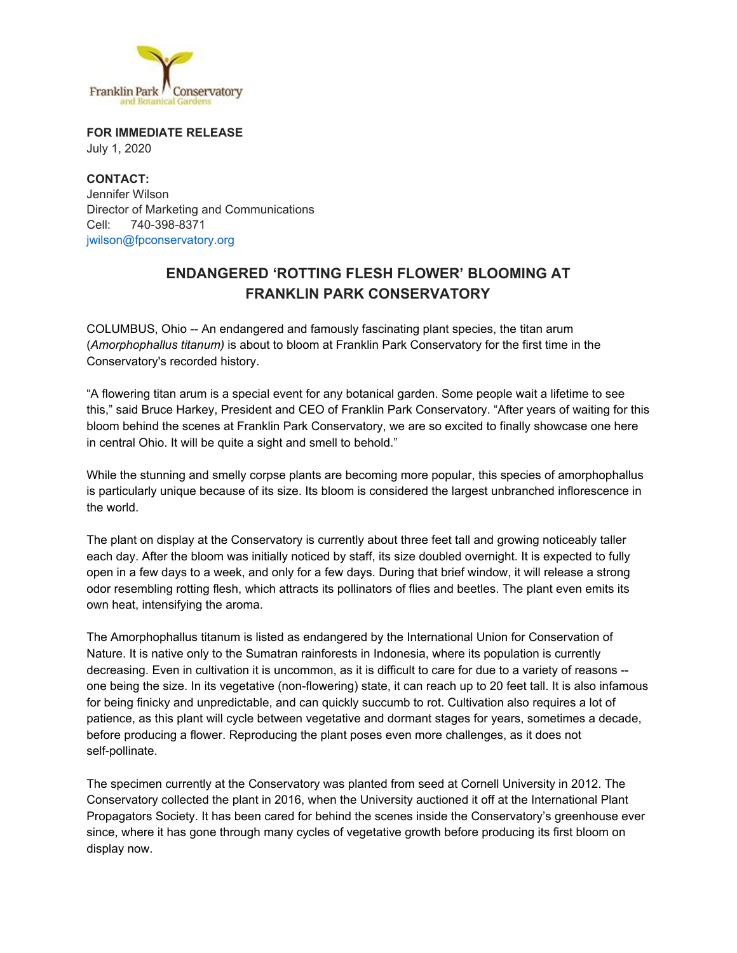

**FOR IMMEDIATE RELEASE** July 1, 2020

**CONTACT:** Jennifer Wilson Director of Marketing and Communications Cell: 740-398-8371 jwilson@fpconservatory.org

## **ENDANGERED 'ROTTING FLESH FLOWER' BLOOMING AT FRANKLIN PARK CONSERVATORY**

COLUMBUS, Ohio -- An endangered and famously fascinating plant species, the titan arum (*Amorphophallus titanum)* is about to bloom at Franklin Park Conservatory for the first time in the Conservatory's recorded history.

"A flowering titan arum is a special event for any botanical garden. Some people wait a lifetime to see this," said Bruce Harkey, President and CEO of Franklin Park Conservatory. "After years of waiting for this bloom behind the scenes at Franklin Park Conservatory, we are so excited to finally showcase one here in central Ohio. It will be quite a sight and smell to behold."

While the stunning and smelly corpse plants are becoming more popular, this species of amorphophallus is particularly unique because of its size. Its bloom is considered the largest unbranched inflorescence in the world.

The plant on display at the Conservatory is currently about three feet tall and growing noticeably taller each day. After the bloom was initially noticed by staff, its size doubled overnight. It is expected to fully open in a few days to a week, and only for a few days. During that brief window, it will release a strong odor resembling rotting flesh, which attracts its pollinators of flies and beetles. The plant even emits its own heat, intensifying the aroma.

The Amorphophallus titanum is listed as endangered by the International Union for Conservation of Nature. It is native only to the Sumatran rainforests in Indonesia, where its population is currently decreasing. Even in cultivation it is uncommon, as it is difficult to care for due to a variety of reasons - one being the size. In its vegetative (non-flowering) state, it can reach up to 20 feet tall. It is also infamous for being finicky and unpredictable, and can quickly succumb to rot. Cultivation also requires a lot of patience, as this plant will cycle between vegetative and dormant stages for years, sometimes a decade, before producing a flower. Reproducing the plant poses even more challenges, as it does not self-pollinate.

The specimen currently at the Conservatory was planted from seed at Cornell University in 2012. The Conservatory collected the plant in 2016, when the University auctioned it off at the International Plant Propagators Society. It has been cared for behind the scenes inside the Conservatory's greenhouse ever since, where it has gone through many cycles of vegetative growth before producing its first bloom on display now.